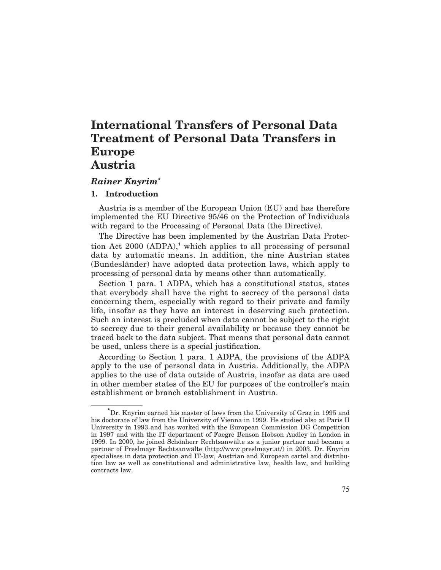# *Rainer Knyrim***\***

# **1. Introduction**

Austria is a member of the European Union (EU) and has therefore implemented the EU Directive 95/46 on the Protection of Individuals with regard to the Processing of Personal Data (the Directive).

The Directive has been implemented by the Austrian Data Protection Act 2000 (ADPA),**<sup>1</sup>** which applies to all processing of personal data by automatic means. In addition, the nine Austrian states (Bundesländer) have adopted data protection laws, which apply to processing of personal data by means other than automatically.

Section 1 para. 1 ADPA, which has a constitutional status, states that everybody shall have the right to secrecy of the personal data concerning them, especially with regard to their private and family life, insofar as they have an interest in deserving such protection. Such an interest is precluded when data cannot be subject to the right to secrecy due to their general availability or because they cannot be traced back to the data subject. That means that personal data cannot be used, unless there is a special justification.

According to Section 1 para. 1 ADPA, the provisions of the ADPA apply to the use of personal data in Austria. Additionally, the ADPA applies to the use of data outside of Austria, insofar as data are used in other member states of the EU for purposes of the controller's main establishment or branch establishment in Austria.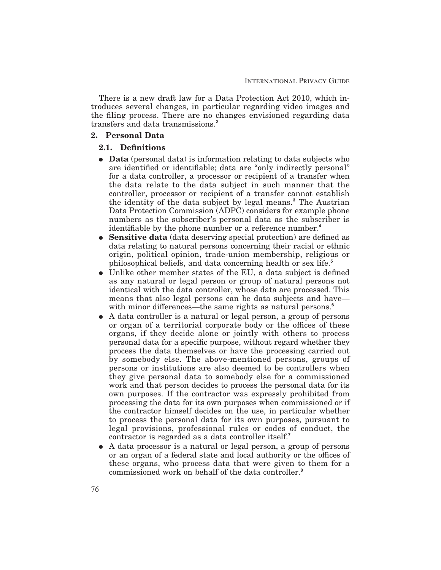There is a new draft law for a Data Protection Act 2010, which introduces several changes, in particular regarding video images and the filing process. There are no changes envisioned regarding data transfers and data transmissions.**<sup>2</sup>**

#### **2. Personal Data**

#### 2.1. Definitions

- **Data** (personal data) is information relating to data subjects who are identified or identifiable; data are "only indirectly personal" for a data controller, a processor or recipient of a transfer when the data relate to the data subject in such manner that the controller, processor or recipient of a transfer cannot establish the identity of the data subject by legal means.**<sup>3</sup>** The Austrian Data Protection Commission (ADPC) considers for example phone numbers as the subscriber's personal data as the subscriber is identifiable by the phone number or a reference number.<sup>4</sup>
- **Sensitive data** (data deserving special protection) are defined as data relating to natural persons concerning their racial or ethnic origin, political opinion, trade-union membership, religious or philosophical beliefs, and data concerning health or sex life.**<sup>5</sup>**
- $\bullet$  Unlike other member states of the EU, a data subject is defined as any natural or legal person or group of natural persons not identical with the data controller, whose data are processed. This means that also legal persons can be data subjects and have with minor differences—the same rights as natural persons.<sup>6</sup>
- E A data controller is a natural or legal person, a group of persons or organ of a territorial corporate body or the offices of these organs, if they decide alone or jointly with others to process personal data for a specific purpose, without regard whether they process the data themselves or have the processing carried out by somebody else. The above-mentioned persons, groups of persons or institutions are also deemed to be controllers when they give personal data to somebody else for a commissioned work and that person decides to process the personal data for its own purposes. If the contractor was expressly prohibited from processing the data for its own purposes when commissioned or if the contractor himself decides on the use, in particular whether to process the personal data for its own purposes, pursuant to legal provisions, professional rules or codes of conduct, the contractor is regarded as a data controller itself.**<sup>7</sup>**
- E A data processor is a natural or legal person, a group of persons or an organ of a federal state and local authority or the offices of these organs, who process data that were given to them for a commissioned work on behalf of the data controller.**<sup>8</sup>**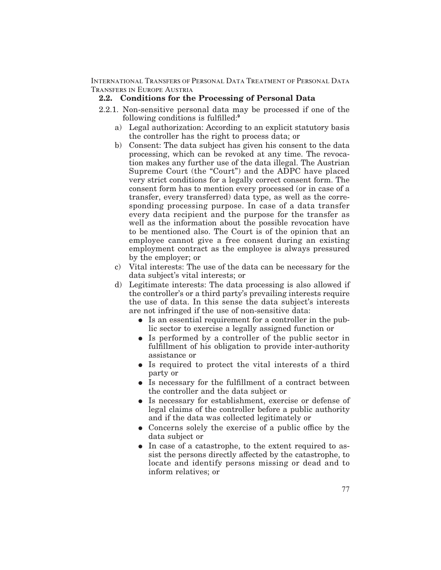# **2.2. Conditions for the Processing of Personal Data**

- 2.2.1. Non-sensitive personal data may be processed if one of the following conditions is fulfilled:<sup>9</sup>
	- a) Legal authorization: According to an explicit statutory basis the controller has the right to process data; or
	- b) Consent: The data subject has given his consent to the data processing, which can be revoked at any time. The revocation makes any further use of the data illegal. The Austrian Supreme Court (the "Court") and the ADPC have placed very strict conditions for a legally correct consent form. The consent form has to mention every processed (or in case of a transfer, every transferred) data type, as well as the corresponding processing purpose. In case of a data transfer every data recipient and the purpose for the transfer as well as the information about the possible revocation have to be mentioned also. The Court is of the opinion that an employee cannot give a free consent during an existing employment contract as the employee is always pressured by the employer; or
	- c) Vital interests: The use of the data can be necessary for the data subject's vital interests; or
	- d) Legitimate interests: The data processing is also allowed if the controller's or a third party's prevailing interests require the use of data. In this sense the data subject's interests are not infringed if the use of non-sensitive data:
		- Is an essential requirement for a controller in the public sector to exercise a legally assigned function or
		- Is performed by a controller of the public sector in ful fillment of his obligation to provide inter-authority assistance or
		- Is required to protect the vital interests of a third party or
		- Is necessary for the fulfillment of a contract between the controller and the data subject or
		- Is necessary for establishment, exercise or defense of legal claims of the controller before a public authority and if the data was collected legitimately or
		- Concerns solely the exercise of a public office by the data subject or
		- In case of a catastrophe, to the extent required to assist the persons directly affected by the catastrophe, to locate and identify persons missing or dead and to inform relatives; or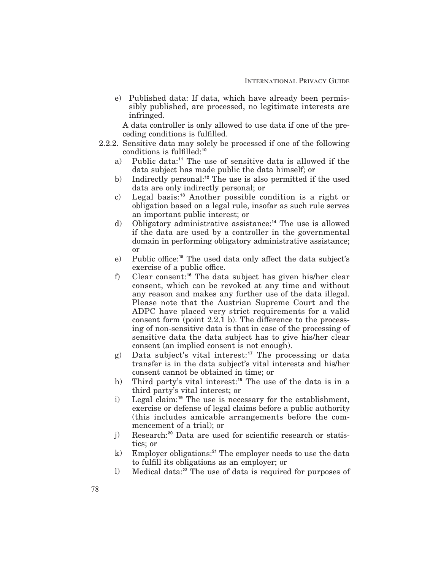e) Published data: If data, which have already been permissibly published, are processed, no legitimate interests are infringed.

A data controller is only allowed to use data if one of the preceding conditions is fulfilled.

- 2.2.2. Sensitive data may solely be processed if one of the following conditions is fulfilled:<sup>10</sup>
	- a) Public data:**<sup>11</sup>** The use of sensitive data is allowed if the data subject has made public the data himself; or
	- b) Indirectly personal:**<sup>12</sup>** The use is also permitted if the used data are only indirectly personal; or
	- c) Legal basis:**<sup>13</sup>** Another possible condition is a right or obligation based on a legal rule, insofar as such rule serves an important public interest; or
	- d) Obligatory administrative assistance:**<sup>14</sup>** The use is allowed if the data are used by a controller in the governmental domain in performing obligatory administrative assistance; or
	- e) Public office:<sup>15</sup> The used data only affect the data subject's exercise of a public office.
	- f) Clear consent:**<sup>16</sup>** The data subject has given his/her clear consent, which can be revoked at any time and without any reason and makes any further use of the data illegal. Please note that the Austrian Supreme Court and the ADPC have placed very strict requirements for a valid consent form (point  $2.2.1$  b). The difference to the processing of non-sensitive data is that in case of the processing of sensitive data the data subject has to give his/her clear consent (an implied consent is not enough).
	- g) Data subject's vital interest:**<sup>17</sup>** The processing or data transfer is in the data subject's vital interests and his/her consent cannot be obtained in time; or
	- h) Third party's vital interest:**<sup>18</sup>** The use of the data is in a third party's vital interest; or
	- i) Legal claim:**<sup>19</sup>** The use is necessary for the establishment, exercise or defense of legal claims before a public authority (this includes amicable arrangements before the commencement of a trial); or
	- j) Research:<sup>20</sup> Data are used for scientific research or statistics; or
	- k) Employer obligations:**<sup>21</sup>** The employer needs to use the data to fulfill its obligations as an employer; or
	- l) Medical data:**<sup>22</sup>** The use of data is required for purposes of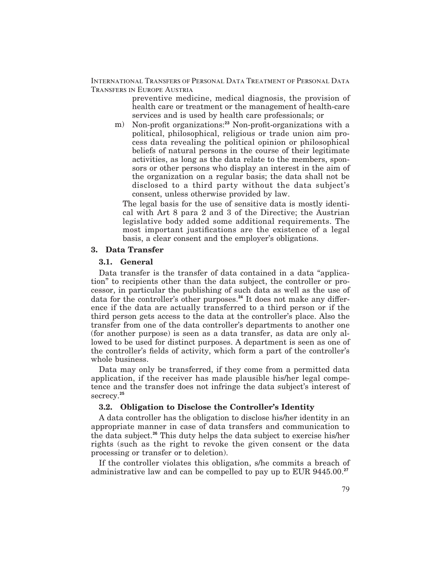> preventive medicine, medical diagnosis, the provision of health care or treatment or the management of health-care services and is used by health care professionals; or

m) Non-profit organizations:<sup>23</sup> Non-profit-organizations with a political, philosophical, religious or trade union aim process data revealing the political opinion or philosophical beliefs of natural persons in the course of their legitimate activities, as long as the data relate to the members, sponsors or other persons who display an interest in the aim of the organization on a regular basis; the data shall not be disclosed to a third party without the data subject's consent, unless otherwise provided by law.

The legal basis for the use of sensitive data is mostly identical with Art 8 para 2 and 3 of the Directive; the Austrian legislative body added some additional requirements. The most important justifications are the existence of a legal basis, a clear consent and the employer's obligations.

#### **3. Data Transfer**

#### **3.1. General**

Data transfer is the transfer of data contained in a data "application" to recipients other than the data subject, the controller or processor, in particular the publishing of such data as well as the use of data for the controller's other purposes.<sup>24</sup> It does not make any difference if the data are actually transferred to a third person or if the third person gets access to the data at the controller's place. Also the transfer from one of the data controller's departments to another one (for another purpose) is seen as a data transfer, as data are only allowed to be used for distinct purposes. A department is seen as one of the controller's fields of activity, which form a part of the controller's whole business.

Data may only be transferred, if they come from a permitted data application, if the receiver has made plausible his/her legal competence and the transfer does not infringe the data subject's interest of secrecy.**<sup>25</sup>**

# **3.2. Obligation to Disclose the Controller's Identity**

A data controller has the obligation to disclose his/her identity in an appropriate manner in case of data transfers and communication to the data subject.**<sup>26</sup>** This duty helps the data subject to exercise his/her rights (such as the right to revoke the given consent or the data processing or transfer or to deletion).

If the controller violates this obligation, s/he commits a breach of administrative law and can be compelled to pay up to EUR 9445.00.**<sup>27</sup>**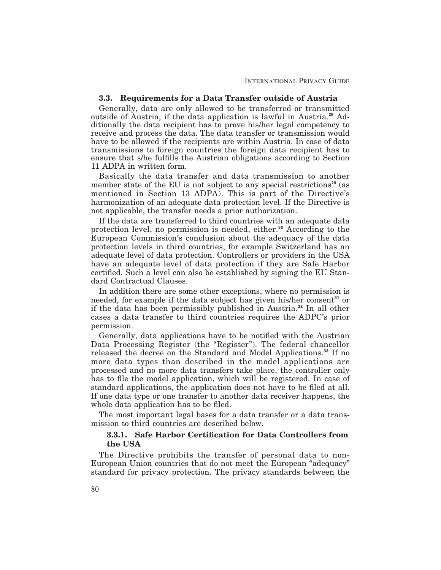#### **3.3. Requirements for a Data Transfer outside of Austria**

Generally, data are only allowed to be transferred or transmitted outside of Austria, if the data application is lawful in Austria.**<sup>28</sup>** Additionally the data recipient has to prove his/her legal competency to receive and process the data. The data transfer or transmission would have to be allowed if the recipients are within Austria. In case of data transmissions to foreign countries the foreign data recipient has to ensure that s/he fulfills the Austrian obligations according to Section 11 ADPA in written form.

Basically the data transfer and data transmission to another member state of the EU is not subject to any special restrictions<sup>29</sup> (as mentioned in Section 13 ADPA). This is part of the Directive's harmonization of an adequate data protection level. If the Directive is not applicable, the transfer needs a prior authorization.

If the data are transferred to third countries with an adequate data protection level, no permission is needed, either.**<sup>30</sup>** According to the European Commission's conclusion about the adequacy of the data protection levels in third countries, for example Switzerland has an adequate level of data protection. Controllers or providers in the USA have an adequate level of data protection if they are Safe Harbor certified. Such a level can also be established by signing the EU Standard Contractual Clauses.

In addition there are some other exceptions, where no permission is needed, for example if the data subject has given his/her consent**<sup>31</sup>** or if the data has been permissibly published in Austria.**<sup>32</sup>** In all other cases a data transfer to third countries requires the ADPC's prior permission.

Generally, data applications have to be notified with the Austrian Data Processing Register (the "Register"). The federal chancellor released the decree on the Standard and Model Applications.**<sup>33</sup>** If no more data types than described in the model applications are processed and no more data transfers take place, the controller only has to file the model application, which will be registered. In case of standard applications, the application does not have to be filed at all. If one data type or one transfer to another data receiver happens, the whole data application has to be filed.

The most important legal bases for a data transfer or a data transmission to third countries are described below.

## **3.3.1. Safe Harbor Certi!cation for Data Controllers from the USA**

The Directive prohibits the transfer of personal data to non-European Union countries that do not meet the European "adequacy" standard for privacy protection. The privacy standards between the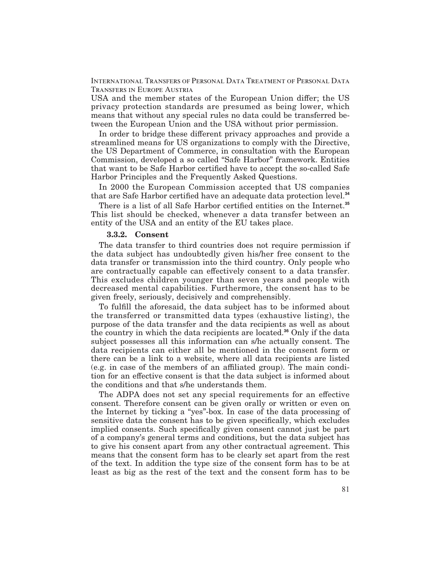USA and the member states of the European Union differ; the US privacy protection standards are presumed as being lower, which means that without any special rules no data could be transferred between the European Union and the USA without prior permission.

In order to bridge these different privacy approaches and provide a streamlined means for US organizations to comply with the Directive, the US Department of Commerce, in consultation with the European Commission, developed a so called "Safe Harbor" framework. Entities that want to be Safe Harbor certified have to accept the so-called Safe Harbor Principles and the Frequently Asked Questions.

In 2000 the European Commission accepted that US companies that are Safe Harbor certified have an adequate data protection level.<sup>34</sup>

There is a list of all Safe Harbor certified entities on the Internet.<sup>35</sup> This list should be checked, whenever a data transfer between an entity of the USA and an entity of the EU takes place.

#### **3.3.2. Consent**

The data transfer to third countries does not require permission if the data subject has undoubtedly given his/her free consent to the data transfer or transmission into the third country. Only people who are contractually capable can effectively consent to a data transfer. This excludes children younger than seven years and people with decreased mental capabilities. Furthermore, the consent has to be given freely, seriously, decisively and comprehensibly.

To fulfill the aforesaid, the data subject has to be informed about the transferred or transmitted data types (exhaustive listing), the purpose of the data transfer and the data recipients as well as about the country in which the data recipients are located.**<sup>36</sup>** Only if the data subject possesses all this information can s/he actually consent. The data recipients can either all be mentioned in the consent form or there can be a link to a website, where all data recipients are listed  $(e.g. in case of the members of an affiliated group). The main condi$ tion for an effective consent is that the data subject is informed about the conditions and that s/he understands them.

The ADPA does not set any special requirements for an effective consent. Therefore consent can be given orally or written or even on the Internet by ticking a "yes"-box. In case of the data processing of sensitive data the consent has to be given specifically, which excludes implied consents. Such specifically given consent cannot just be part of a company's general terms and conditions, but the data subject has to give his consent apart from any other contractual agreement. This means that the consent form has to be clearly set apart from the rest of the text. In addition the type size of the consent form has to be at least as big as the rest of the text and the consent form has to be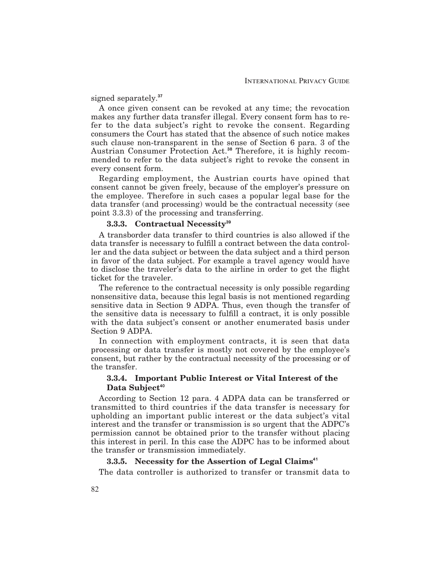signed separately.**<sup>37</sup>**

A once given consent can be revoked at any time; the revocation makes any further data transfer illegal. Every consent form has to refer to the data subject's right to revoke the consent. Regarding consumers the Court has stated that the absence of such notice makes such clause non-transparent in the sense of Section 6 para. 3 of the Austrian Consumer Protection Act.**<sup>38</sup>** Therefore, it is highly recommended to refer to the data subject's right to revoke the consent in every consent form.

Regarding employment, the Austrian courts have opined that consent cannot be given freely, because of the employer's pressure on the employee. Therefore in such cases a popular legal base for the data transfer (and processing) would be the contractual necessity (see point 3.3.3) of the processing and transferring.

#### **3.3.3. Contractual Necessity<sup>39</sup>**

A transborder data transfer to third countries is also allowed if the data transfer is necessary to fulfill a contract between the data controller and the data subject or between the data subject and a third person in favor of the data subject. For example a travel agency would have to disclose the traveler's data to the airline in order to get the flight ticket for the traveler.

The reference to the contractual necessity is only possible regarding nonsensitive data, because this legal basis is not mentioned regarding sensitive data in Section 9 ADPA. Thus, even though the transfer of the sensitive data is necessary to fulfill a contract, it is only possible with the data subject's consent or another enumerated basis under Section 9 ADPA.

In connection with employment contracts, it is seen that data processing or data transfer is mostly not covered by the employee's consent, but rather by the contractual necessity of the processing or of the transfer.

# **3.3.4. Important Public Interest or Vital Interest of the Data Subject<sup>40</sup>**

According to Section 12 para. 4 ADPA data can be transferred or transmitted to third countries if the data transfer is necessary for upholding an important public interest or the data subject's vital interest and the transfer or transmission is so urgent that the ADPC's permission cannot be obtained prior to the transfer without placing this interest in peril. In this case the ADPC has to be informed about the transfer or transmission immediately.

#### **3.3.5. Necessity for the Assertion of Legal Claims<sup>41</sup>**

The data controller is authorized to transfer or transmit data to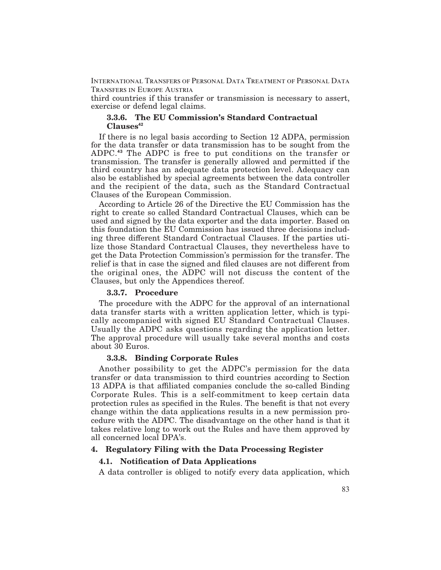third countries if this transfer or transmission is necessary to assert, exercise or defend legal claims.

#### **3.3.6. The EU Commission's Standard Contractual Clauses<sup>42</sup>**

If there is no legal basis according to Section 12 ADPA, permission for the data transfer or data transmission has to be sought from the ADPC.**<sup>43</sup>** The ADPC is free to put conditions on the transfer or transmission. The transfer is generally allowed and permitted if the third country has an adequate data protection level. Adequacy can also be established by special agreements between the data controller and the recipient of the data, such as the Standard Contractual Clauses of the European Commission.

According to Article 26 of the Directive the EU Commission has the right to create so called Standard Contractual Clauses, which can be used and signed by the data exporter and the data importer. Based on this foundation the EU Commission has issued three decisions including three different Standard Contractual Clauses. If the parties utilize those Standard Contractual Clauses, they nevertheless have to get the Data Protection Commission's permission for the transfer. The relief is that in case the signed and filed clauses are not different from the original ones, the ADPC will not discuss the content of the Clauses, but only the Appendices thereof.

#### **3.3.7. Procedure**

The procedure with the ADPC for the approval of an international data transfer starts with a written application letter, which is typically accompanied with signed EU Standard Contractual Clauses. Usually the ADPC asks questions regarding the application letter. The approval procedure will usually take several months and costs about 30 Euros.

## **3.3.8. Binding Corporate Rules**

Another possibility to get the ADPC's permission for the data transfer or data transmission to third countries according to Section 13 ADPA is that affiliated companies conclude the so-called Binding Corporate Rules. This is a self-commitment to keep certain data protection rules as specified in the Rules. The benefit is that not every change within the data applications results in a new permission procedure with the ADPC. The disadvantage on the other hand is that it takes relative long to work out the Rules and have them approved by all concerned local DPA's.

## **4. Regulatory Filing with the Data Processing Register**

#### **4.1. Noti!cation of Data Applications**

A data controller is obliged to notify every data application, which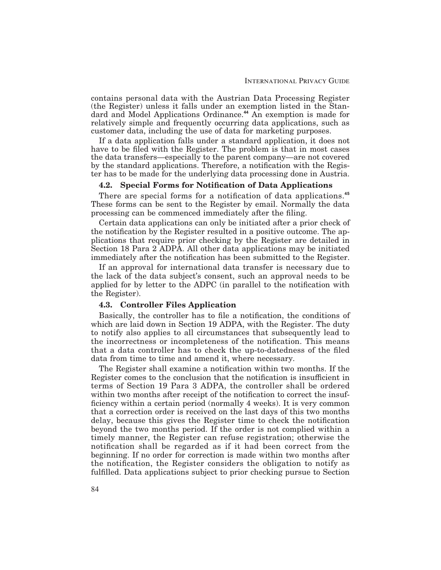contains personal data with the Austrian Data Processing Register (the Register) unless it falls under an exemption listed in the Standard and Model Applications Ordinance.**<sup>44</sup>** An exemption is made for relatively simple and frequently occurring data applications, such as customer data, including the use of data for marketing purposes.

If a data application falls under a standard application, it does not have to be filed with the Register. The problem is that in most cases the data transfers—especially to the parent company—are not covered by the standard applications. Therefore, a notification with the Register has to be made for the underlying data processing done in Austria.

## **4.2. Special Forms for Noti!cation of Data Applications**

There are special forms for a notification of data applications.<sup>45</sup> These forms can be sent to the Register by email. Normally the data processing can be commenced immediately after the filing.

Certain data applications can only be initiated after a prior check of the notification by the Register resulted in a positive outcome. The applications that require prior checking by the Register are detailed in Section 18 Para 2 ADPA. All other data applications may be initiated immediately after the notification has been submitted to the Register.

If an approval for international data transfer is necessary due to the lack of the data subject's consent, such an approval needs to be applied for by letter to the ADPC (in parallel to the notification with the Register).

#### **4.3. Controller Files Application**

Basically, the controller has to file a notification, the conditions of which are laid down in Section 19 ADPA, with the Register. The duty to notify also applies to all circumstances that subsequently lead to the incorrectness or incompleteness of the notification. This means that a data controller has to check the up-to-datedness of the "led data from time to time and amend it, where necessary.

The Register shall examine a notification within two months. If the Register comes to the conclusion that the notification is insufficient in terms of Section 19 Para 3 ADPA, the controller shall be ordered within two months after receipt of the notification to correct the insufficiency within a certain period (normally 4 weeks). It is very common that a correction order is received on the last days of this two months delay, because this gives the Register time to check the notification beyond the two months period. If the order is not complied within a timely manner, the Register can refuse registration; otherwise the notification shall be regarded as if it had been correct from the beginning. If no order for correction is made within two months after the notification, the Register considers the obligation to notify as fulfilled. Data applications subject to prior checking pursue to Section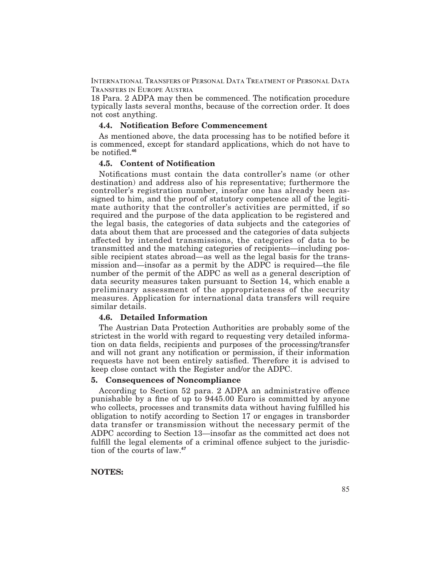18 Para. 2 ADPA may then be commenced. The notification procedure typically lasts several months, because of the correction order. It does not cost anything.

#### **4.4. Noti!cation Before Commencement**

As mentioned above, the data processing has to be notified before it is commenced, except for standard applications, which do not have to be notified.<sup>46</sup>

#### **4.5. Content of Noti!cation**

Notifications must contain the data controller's name (or other destination) and address also of his representative; furthermore the controller's registration number, insofar one has already been assigned to him, and the proof of statutory competence all of the legitimate authority that the controller's activities are permitted, if so required and the purpose of the data application to be registered and the legal basis, the categories of data subjects and the categories of data about them that are processed and the categories of data subjects affected by intended transmissions, the categories of data to be transmitted and the matching categories of recipients—including possible recipient states abroad—as well as the legal basis for the transmission and—insofar as a permit by the ADPC is required—the file number of the permit of the ADPC as well as a general description of data security measures taken pursuant to Section 14, which enable a preliminary assessment of the appropriateness of the security measures. Application for international data transfers will require similar details.

#### **4.6. Detailed Information**

The Austrian Data Protection Authorities are probably some of the strictest in the world with regard to requesting very detailed information on data fields, recipients and purposes of the processing/transfer and will not grant any notification or permission, if their information requests have not been entirely satisfied. Therefore it is advised to keep close contact with the Register and/or the ADPC.

#### **5. Consequences of Noncompliance**

According to Section 52 para. 2 ADPA an administrative offence punishable by a fine of up to  $9445.00$  Euro is committed by anyone who collects, processes and transmits data without having fulfilled his obligation to notify according to Section 17 or engages in transborder data transfer or transmission without the necessary permit of the ADPC according to Section 13—insofar as the committed act does not fulfill the legal elements of a criminal offence subject to the jurisdiction of the courts of law.**<sup>47</sup>**

#### **NOTES:**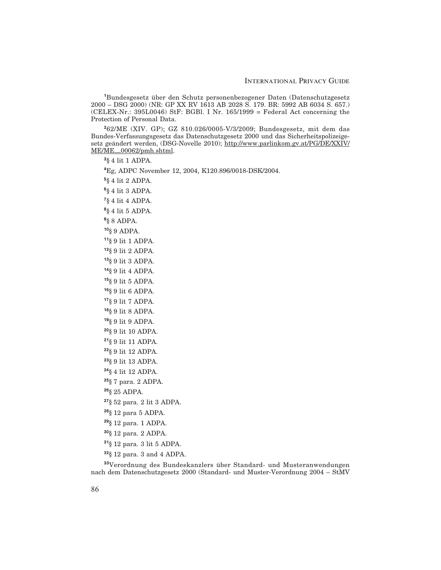Bundesgesetz über den Schutz personenbezogener Daten (Datenschutzgesetz 2000 – DSG 2000) (NR: GP XX RV 1613 AB 2028 S. 179. BR: 5992 AB 6034 S. 657.)  $(CELEX-Nr.: 395L0046)$  StF: BGBl. I Nr. 165/1999 = Federal Act concerning the Protection of Personal Data.

62/ME (XIV. GP); GZ 810.026/0005-V/3/2009; Bundesgesetz, mit dem das Bundes-Verfassungsgesetz das Datenschutzgesetz 2000 und das Sicherheitspolizeigesetz geändert werden, (DSG-Novelle 2010); http://www.parlinkom.gv.at/PG/DE/XXIV/  $ME/ME$  00062/pmh.shtml.

§ 4 lit 1 ADPA.

Eg, ADPC November 12, 2004, K120.896/0018-DSK/2004.

§ 4 lit 2 ADPA.

§ 4 lit 3 ADPA.

§ 4 lit 4 ADPA.

§ 4 lit 5 ADPA.

§ 8 ADPA.

§ 9 ADPA.

§ 9 lit 1 ADPA.

§ 9 lit 2 ADPA.

§ 9 lit 3 ADPA.

§ 9 lit 4 ADPA.

§ 9 lit 5 ADPA.

§ 9 lit 6 ADPA.

§ 9 lit 7 ADPA.

§ 9 lit 8 ADPA.

§ 9 lit 9 ADPA.

§ 9 lit 10 ADPA.

§ 9 lit 11 ADPA.

§ 9 lit 12 ADPA.

§ 9 lit 13 ADPA.

§ 4 lit 12 ADPA.

§ 7 para. 2 ADPA.

§ 25 ADPA.

§ 52 para. 2 lit 3 ADPA.

§ 12 para 5 ADPA.

§ 12 para. 1 ADPA.

§ 12 para. 2 ADPA.

§ 12 para. 3 lit 5 ADPA.

§ 12 para. 3 and 4 ADPA.

Verordnung des Bundeskanzlers über Standard- und Musteranwendungen nach dem Datenschutzgesetz 2000 (Standard- und Muster-Verordnung 2004 – StMV